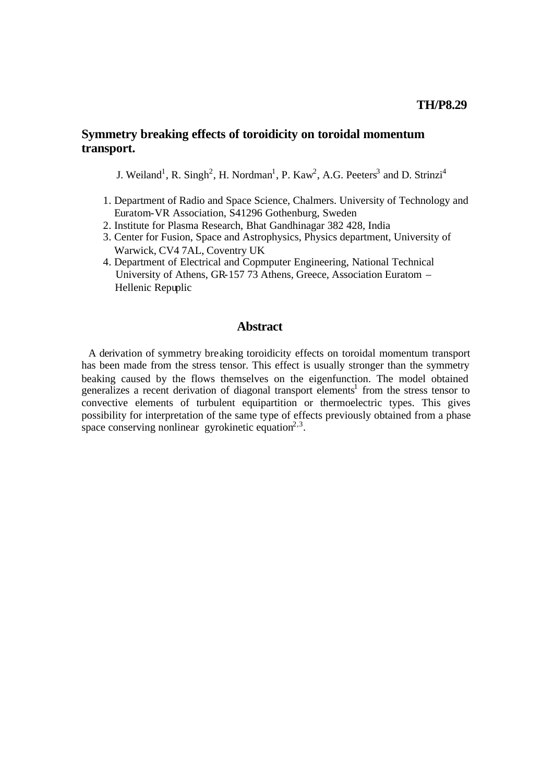## **Symmetry breaking effects of toroidicity on toroidal momentum transport.**

J. Weiland<sup>1</sup>, R. Singh<sup>2</sup>, H. Nordman<sup>1</sup>, P. Kaw<sup>2</sup>, A.G. Peeters<sup>3</sup> and D. Strinzi<sup>4</sup>

- 1. Department of Radio and Space Science, Chalmers. University of Technology and Euratom-VR Association, S41296 Gothenburg, Sweden
- 2. Institute for Plasma Research, Bhat Gandhinagar 382 428, India
- 3. Center for Fusion, Space and Astrophysics, Physics department, University of Warwick, CV4 7AL, Coventry UK
- 4. Department of Electrical and Copmputer Engineering, National Technical University of Athens, GR-157 73 Athens, Greece, Association Euratom – Hellenic Repuplic

### **Abstract**

A derivation of symmetry breaking toroidicity effects on toroidal momentum transport has been made from the stress tensor. This effect is usually stronger than the symmetry beaking caused by the flows themselves on the eigenfunction. The model obtained generalizes a recent derivation of diagonal transport elements<sup>1</sup> from the stress tensor to convective elements of turbulent equipartition or thermoelectric types. This gives possibility for interpretation of the same type of effects previously obtained from a phase space conserving nonlinear gyrokinetic equation<sup>2,3</sup>.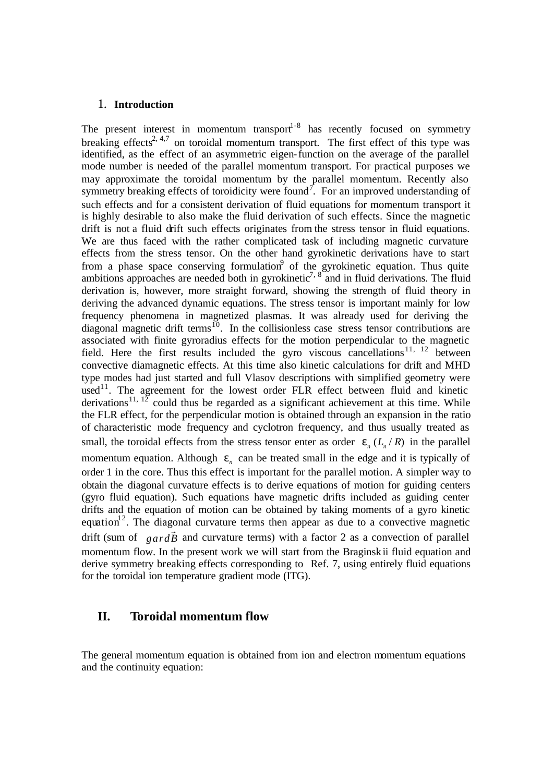#### 1. **Introduction**

The present interest in momentum transport<sup> $1-8$ </sup> has recently focused on symmetry breaking effects<sup>2, 4,7</sup> on toroidal momentum transport. The first effect of this type was identified, as the effect of an asymmetric eigen-function on the average of the parallel mode number is needed of the parallel momentum transport. For practical purposes we may approximate the toroidal momentum by the parallel momentum. Recently also symmetry breaking effects of toroidicity were found<sup>7</sup>. For an improved understanding of such effects and for a consistent derivation of fluid equations for momentum transport it is highly desirable to also make the fluid derivation of such effects. Since the magnetic drift is not a fluid drift such effects originates from the stress tensor in fluid equations. We are thus faced with the rather complicated task of including magnetic curvature effects from the stress tensor. On the other hand gyrokinetic derivations have to start from a phase space conserving formulation of the gyrokinetic equation. Thus quite ambitions approaches are needed both in gyrokinetic<sup>7, 8</sup> and in fluid derivations. The fluid derivation is, however, more straight forward, showing the strength of fluid theory in deriving the advanced dynamic equations. The stress tensor is important mainly for low frequency phenomena in magnetized plasmas. It was already used for deriving the diagonal magnetic drift terms<sup>10</sup>. In the collisionless case stress tensor contributions are associated with finite gyroradius effects for the motion perpendicular to the magnetic field. Here the first results included the gyro viscous cancellations<sup>11, 12</sup> between convective diamagnetic effects. At this time also kinetic calculations for drift and MHD type modes had just started and full Vlasov descriptions with simplified geometry were used<sup>11</sup>. The agreement for the lowest order FLR effect between fluid and kinetic derivations<sup>11,  $12^{\circ}$ </sup> could thus be regarded as a significant achievement at this time. While the FLR effect, for the perpendicular motion is obtained through an expansion in the ratio of characteristic mode frequency and cyclotron frequency, and thus usually treated as small, the toroidal effects from the stress tensor enter as order  $e_n ( L_n / R )$  in the parallel momentum equation. Although  $e_n$  can be treated small in the edge and it is typically of order 1 in the core. Thus this effect is important for the parallel motion. A simpler way to obtain the diagonal curvature effects is to derive equations of motion for guiding centers (gyro fluid equation). Such equations have magnetic drifts included as guiding center drifts and the equation of motion can be obtained by taking moments of a gyro kinetic equation<sup>12</sup>. The diagonal curvature terms then appear as due to a convective magnetic drift (sum of *gardB*  $\overline{a}$  and curvature terms) with a factor 2 as a convection of parallel momentum flow. In the present work we will start from the Braginskii fluid equation and derive symmetry breaking effects corresponding to Ref. 7, using entirely fluid equations for the toroidal ion temperature gradient mode (ITG).

## **II. Toroidal momentum flow**

The general momentum equation is obtained from ion and electron momentum equations and the continuity equation: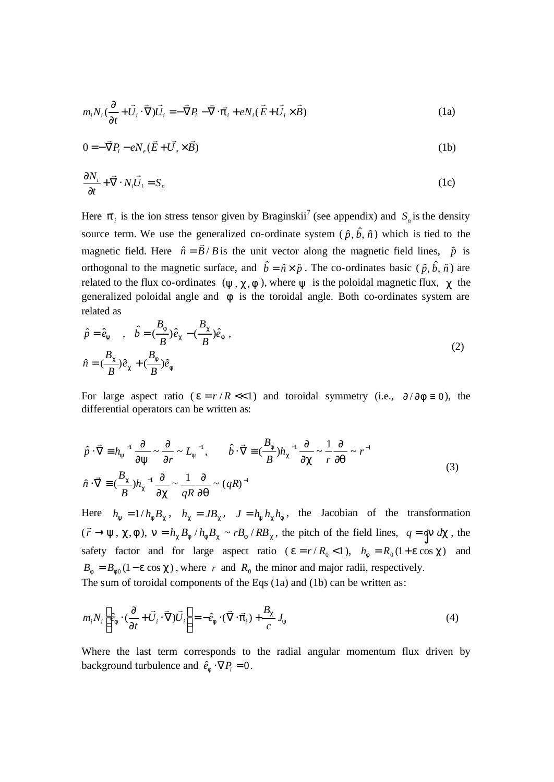$$
m_i N_i \left(\frac{\partial}{\partial t} + \vec{U}_i \cdot \vec{\nabla}\right) \vec{U}_i = -\vec{\nabla} P_i - \vec{\nabla} \cdot \vec{\boldsymbol{p}}_i + e N_i (\vec{E} + \vec{U}_i \times \vec{B})
$$
(1a)

$$
0 = -\vec{\nabla}P_i - eN_e(\vec{E} + \vec{U_e} \times \vec{B})
$$
 (1b)

$$
\frac{\partial N_i}{\partial t} + \vec{\nabla} \cdot N_i \vec{U}_i = S_n \tag{1c}
$$

Here  $\vec{p}_i$  is the ion stress tensor given by Braginskii<sup>7</sup> (see appendix) and  $S_n$  is the density source term. We use the generalized co-ordinate system  $(\hat{p}, \hat{b}, \hat{n})$  which is tied to the magnetic field. Here  $\hat{n} = \vec{B}/B$ r  $= \vec{B}/B$  is the unit vector along the magnetic field lines,  $\hat{p}$  is orthogonal to the magnetic surface, and  $\hat{b} = \hat{n} \times \hat{p}$ . The co-ordinates basic ( $\hat{p}, \hat{b}, \hat{n}$ ) are related to the flux co-ordinates  $(y, c, f)$ , where *y* is the poloidal magnetic flux, *c* the generalized poloidal angle and *f* is the toroidal angle. Both co-ordinates system are related as

$$
\hat{p} = \hat{e}_y , \quad \hat{b} = \left(\frac{B_f}{B}\right)\hat{e}_c - \left(\frac{B_c}{B}\right)\hat{e}_f ,
$$
\n
$$
\hat{n} = \left(\frac{B_c}{B}\right)\hat{e}_c + \left(\frac{B_f}{B}\right)\hat{e}_f
$$
\n
$$
(2)
$$

For large aspect ratio ( $e = r/R \ll 1$ ) and toroidal symmetry (i.e.,  $\partial/\partial f = 0$ ), the differential operators can be written as:

$$
\hat{p} \cdot \vec{\nabla} \equiv h_y^{-1} \frac{\partial}{\partial y} \sim \frac{\partial}{\partial r} \sim L_y^{-1}, \qquad \hat{b} \cdot \vec{\nabla} \equiv \left(\frac{B_f}{B}\right) h_c^{-1} \frac{\partial}{\partial c} \sim \frac{1}{r} \frac{\partial}{\partial q} \sim r^{-1}
$$
\n
$$
\hat{n} \cdot \vec{\nabla} \equiv \left(\frac{B_c}{B}\right) h_c^{-1} \frac{\partial}{\partial c} \sim \frac{1}{qR} \frac{\partial}{\partial q} \sim (qR)^{-1}
$$
\n(3)

Here  $h_y = 1/h_f B_c$ ,  $h_c = JB_c$ ,  $J = h_y h_c h_f$ , the Jacobian of the transformation  $(\vec{r} \rightarrow y, \vec{c}, f), n = h_c B_f / h_f B_c \sim r B_f / R B_c$ , the pitch of the field lines,  $q = \oint n \, d\vec{c}$ , the safety factor and for large aspect ratio ( $e = r/R_0 < 1$ ),  $h_f = R_0(1 + e \cos c)$  and  $B_f = B_{f0} (1 - e \cos c)$ , where *r* and  $R_0$  the minor and major radii, respectively. The sum of toroidal components of the Eqs (1a) and (1b) can be written as:

$$
m_i N_i \left[ \hat{e}_f \cdot (\frac{\partial}{\partial t} + \vec{U}_i \cdot \vec{\nabla}) \vec{U}_i \right] = -\hat{e}_f \cdot (\vec{\nabla} \cdot \vec{p}_i) + \frac{B_c}{c} J_y \tag{4}
$$

Where the last term corresponds to the radial angular momentum flux driven by background turbulence and  $\hat{e}_f \cdot \nabla P_i = 0$ .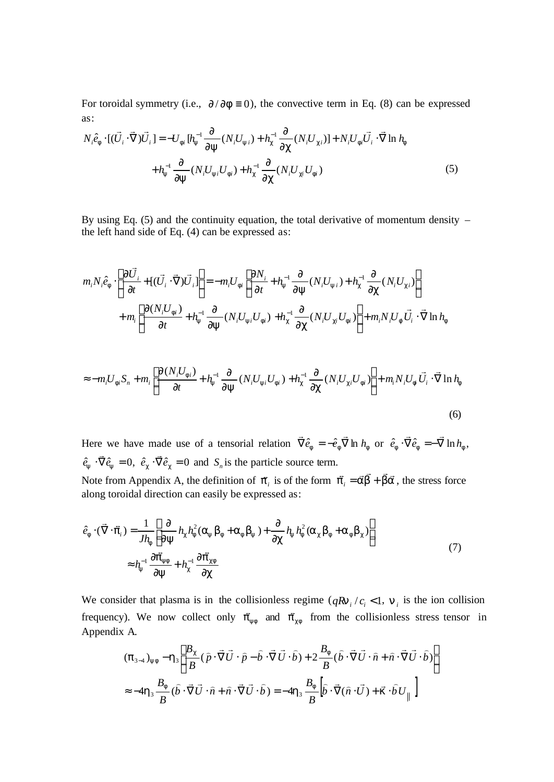For toroidal symmetry (i.e.,  $\partial/\partial f \equiv 0$ ), the convective term in Eq. (8) can be expressed as:

$$
N_i \hat{e}_f \cdot [(\vec{U}_i \cdot \vec{\nabla}) \vec{U}_i] = -U_{fi} [h_y^{-1} \frac{\partial}{\partial y} (N_i U_{yi}) + h_c^{-1} \frac{\partial}{\partial c} (N_i U_{ci})] + N_i U_{fi} \vec{U}_i \cdot \vec{\nabla} \ln h_f
$$
  
+ 
$$
h_y^{-1} \frac{\partial}{\partial y} (N_i U_{yi} U_{fi}) + h_c^{-1} \frac{\partial}{\partial c} (N_i U_{ci} U_{fi})
$$
 (5)

By using Eq. (5) and the continuity equation, the total derivative of momentum density  $$ the left hand side of Eq. (4) can be expressed as:

$$
m_i N_i \hat{e}_f \cdot \left[ \frac{\partial \vec{U}_i}{\partial t} + \left[ (\vec{U}_i \cdot \vec{\nabla}) \vec{U}_i \right] \right] = -m_i U_{fi} \left[ \frac{\partial N_i}{\partial t} + h_y^{-1} \frac{\partial}{\partial y} (N_i U_{yi}) + h_c^{-1} \frac{\partial}{\partial c} (N_i U_{ci}) \right] + m_i \left[ \frac{\partial (N_i U_{fi})}{\partial t} + h_y^{-1} \frac{\partial}{\partial y} (N_i U_{yi} U_{fi}) + h_c^{-1} \frac{\partial}{\partial c} (N_i U_{ci} U_{fi}) \right] + m_i N_i U_f \vec{U}_i \cdot \vec{\nabla} \ln h_f
$$

$$
\approx -m_i U_{fi} S_n + m_i \left[ \frac{\partial (N_i U_{fi})}{\partial t} + h_y^{-1} \frac{\partial}{\partial y} (N_i U_{yi} U_{fi}) + h_c^{-1} \frac{\partial}{\partial c} (N_i U_{ci} U_{fi}) \right] + m_i N_i U_{fi} \vec{U}_i \cdot \vec{\nabla} \ln h_f
$$
\n(6)

Here we have made use of a tensorial relation  $\vec{\nabla} \hat{e}_f = -\hat{e}_f \vec{\nabla} \ln h_f$  $\overline{r}$  r  $\overline{r}$ or  $\hat{e}_f \cdot \vec{\nabla} \hat{e}_f = -\vec{\nabla} \ln h_f$ ,  $\ddot{=}$ .  $\ddot{=}$  $\hat{e}_{\mathbf{y}} \cdot \vec{\nabla} \hat{e}_{\mathbf{y}} = 0,$  $\overline{a}$  $\hat{e}_c \cdot \vec{\nabla} \hat{e}_c = 0$  $\overline{a}$ and  $S_n$  is the particle source term. Note from Appendix A, the definition of  $\vec{p}_i$  is of the form  $\vec{p}_i = \vec{a}\vec{b} + \vec{b}\vec{a}$ , the stress force along toroidal direction can easily be expressed as:

$$
\hat{e}_f \cdot (\vec{\nabla} \cdot \vec{p}_i) = \frac{1}{Jh_f} \left[ \frac{\partial}{\partial y} h_c h_f^2 (\mathbf{a}_y \mathbf{b}_f + \mathbf{a}_f \mathbf{b}_y) + \frac{\partial}{\partial c} h_y h_f^2 (\mathbf{a}_c \mathbf{b}_f + \mathbf{a}_f \mathbf{b}_c) \right]
$$
\n
$$
\approx h_y^{-1} \frac{\partial \vec{p}_{yf}}{\partial y} + h_c^{-1} \frac{\partial \vec{p}_{cf}}{\partial c}
$$
\n(7)

We consider that plasma is in the collisionless regime  $(qRn_i/c_i < 1, n_i$  is the ion collision frequency). We now collect only  $\vec{p}_{yf}$  and  $\vec{p}_{cf}$  from the collisionless stress tensor in Appendix A.

$$
(\mathbf{p}_{3\rightarrow 4})_{\mathbf{y}f} - \mathbf{h}_3 \left[ \frac{B_c}{B} (\hat{p} \cdot \vec{\nabla} \vec{U} \cdot \hat{p} - \hat{b} \cdot \vec{\nabla} \vec{U} \cdot \hat{b}) + 2 \frac{B_f}{B} (\hat{b} \cdot \vec{\nabla} \vec{U} \cdot \hat{n} + \hat{n} \cdot \vec{\nabla} \vec{U} \cdot \hat{b}) \right]
$$
  

$$
\approx -4\mathbf{h}_3 \frac{B_f}{B} (\hat{b} \cdot \vec{\nabla} \vec{U} \cdot \hat{n} + \hat{n} \cdot \vec{\nabla} \vec{U} \cdot \hat{b}) = -4\mathbf{h}_3 \frac{B_f}{B} \left[ \hat{b} \cdot \vec{\nabla} (\hat{n} \cdot \vec{U}) + \mathbf{K} \cdot \hat{b} \vec{U} \right] \right]
$$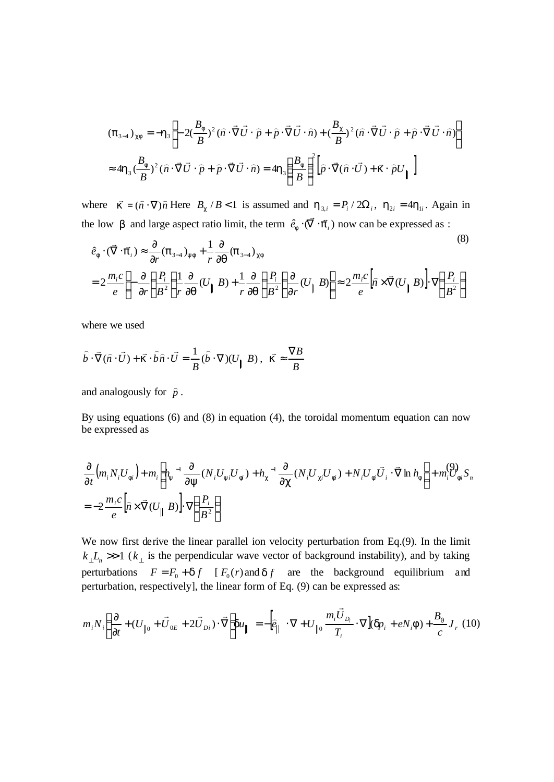$$
(\mathbf{p}_{3-4})_{cf} = -\mathbf{h}_3 \left[ -2(\frac{B_f}{B})^2 (\hat{n} \cdot \vec{\nabla} \vec{U} \cdot \hat{p} + \hat{p} \cdot \vec{\nabla} \vec{U} \cdot \hat{n}) + (\frac{B_c}{B})^2 (\hat{n} \cdot \vec{\nabla} \vec{U} \cdot \hat{p} + \hat{p} \cdot \vec{\nabla} \vec{U} \cdot \hat{n}) \right]
$$
  

$$
\approx 4\mathbf{h}_3 (\frac{B_f}{B})^2 (\hat{n} \cdot \vec{\nabla} \vec{U} \cdot \hat{p} + \hat{p} \cdot \vec{\nabla} \vec{U} \cdot \hat{n}) = 4\mathbf{h}_3 (\frac{B_f}{B})^2 [\hat{p} \cdot \vec{\nabla} (\hat{n} \cdot \vec{U}) + \mathbf{k} \cdot \hat{p} U_{\parallel}]
$$

where  $\mathbf{K} = (\hat{\mathbf{n}} \cdot \nabla) \hat{\mathbf{n}}$  Here  $B_c / B < 1$  is assumed and  $\mathbf{h}_{3,i} = P_i / 2\Omega_i$ ,  $\mathbf{h}_{2i} = 4\mathbf{h}_{1i}$ . Again in the low *b* and large aspect ratio limit, the term  $\hat{e}_f \cdot (\vec{\nabla} \cdot \vec{p}_i)$  now can be expressed as :

$$
\hat{e}_f \cdot (\vec{\nabla} \cdot \vec{p}_i) \approx \frac{\partial}{\partial r} (\mathbf{p}_{3\rightarrow 4})_{yf} + \frac{1}{r} \frac{\partial}{\partial \mathbf{q}} (\mathbf{p}_{3\rightarrow 4})_{cf}
$$
\n
$$
= 2 \frac{m_i c}{e} \left[ -\frac{\partial}{\partial r} \left( \frac{P_i}{B^2} \right) \frac{1}{r} \frac{\partial}{\partial \mathbf{q}} (U_{\parallel} B) + \frac{1}{r} \frac{\partial}{\partial \mathbf{q}} \left( \frac{P_i}{B^2} \right) \frac{\partial}{\partial r} (U_{\parallel} B) \right] \approx 2 \frac{m_i c}{e} \left[ \hat{n} \times \vec{\nabla} (U_{\parallel} B) \right] \cdot \nabla \left( \frac{P_i}{B^2} \right)
$$
\n(8)

where we used

$$
\hat{b} \cdot \vec{\nabla}(\hat{n} \cdot \vec{U}) + \vec{K} \cdot \hat{b} \hat{n} \cdot \vec{U} = \frac{1}{B} (\hat{b} \cdot \nabla)(U_{\parallel} B), \ \ \vec{K} \approx \frac{\nabla B}{B}
$$

and analogously for  $\hat{p}$ .

By using equations (6) and (8) in equation (4), the toroidal momentum equation can now be expressed as

$$
\frac{\partial}{\partial t} \left( m_i N_i U_{fi} \right) + m_i \left[ h_y^{-1} \frac{\partial}{\partial y} (N_i U_{yi} U_{fi}) + h_c^{-1} \frac{\partial}{\partial c} (N_i U_{ci} U_{fi}) + N_i U_{fi} \vec{U}_i \cdot \vec{\nabla} \ln h_f \right] + m_i^{\text{(3)}} F_{fi} S_n
$$
\n
$$
= -2 \frac{m_i c}{e} \left[ \hat{n} \times \vec{\nabla} (U_{\parallel} B) \right] \cdot \nabla \left( \frac{P_i}{B^2} \right)
$$

We now first derive the linear parallel ion velocity perturbation from Eq.(9). In the limit  $k_{\perp} L_n \gg 1$  ( $k_{\perp}$  is the perpendicular wave vector of background instability), and by taking perturbations  $F = F_0 + df$  [ $F_0(r)$  and  $df$  are the background equilibrium and perturbation, respectively], the linear form of Eq. (9) can be expressed as:

$$
m_i N_i \left( \frac{\partial}{\partial t} + (U_{\parallel 0} + \vec{U}_{0E} + 2\vec{U}_{Di}) \cdot \vec{\nabla} \right) du_{\parallel} = -\left[ \hat{e}_{\parallel} \cdot \nabla + U_{\parallel 0} \frac{m_i \vec{U}_{Di}}{T_i} \cdot \nabla \right] (dp_i + eN_i \mathbf{f}) + \frac{B_q}{c} J_r \tag{10}
$$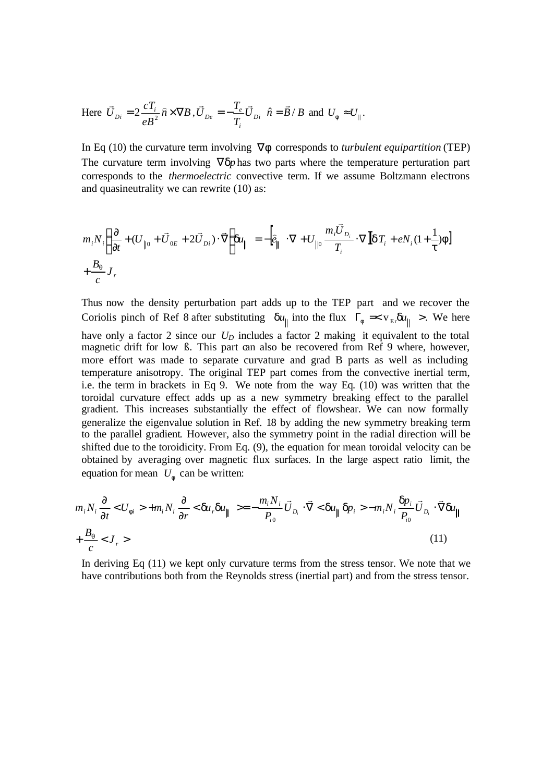Here 
$$
\vec{U}_{Di} = 2 \frac{cT_i}{eB^2} \hat{n} \times \nabla B
$$
,  $\vec{U}_{De} = -\frac{T_e}{T_i} \vec{U}_{Di} \hat{n} = \vec{B}/B$  and  $U_f \approx U_{\parallel}$ .

In Eq (10) the curvature term involving ∇*f* corresponds to *turbulent equipartition* (TEP) The curvature term involving  $∇ dp$  has two parts where the temperature perturation part corresponds to the *thermoelectric* convective term. If we assume Boltzmann electrons and quasineutrality we can rewrite (10) as:

$$
m_i N_i \left( \frac{\partial}{\partial t} + (U_{\parallel 0} + \vec{U}_{0E} + 2\vec{U}_{Di}) \cdot \vec{\nabla} \right) du_{\parallel} = -\left[ \hat{e}_{\parallel} \cdot \nabla + U_{\parallel 0} \frac{m_i \vec{U}_{Di}}{T_i} \cdot \nabla \left[ d_i + e N_i (1 + \frac{1}{t}) f \right] \right]
$$
  
+  $\frac{B_q}{c} J_r$ 

Thus now the density perturbation part adds up to the TEP part and we recover the Coriolis pinch of Ref 8 after substituting  $du_{\parallel}$  into the flux  $\Gamma_f \ll v_{\parallel} du_{\parallel} >$ . We here have only a factor 2 since our  $U_D$  includes a factor 2 making it equivalent to the total magnetic drift for low  $\beta$ . This part can also be recovered from Ref 9 where, however, more effort was made to separate curvature and grad B parts as well as including temperature anisotropy. The original TEP part comes from the convective inertial term, i.e. the term in brackets in Eq 9. We note from the way Eq. (10) was written that the toroidal curvature effect adds up as a new symmetry breaking effect to the parallel gradient. This increases substantially the effect of flowshear. We can now formally generalize the eigenvalue solution in Ref. 18 by adding the new symmetry breaking term to the parallel gradient. However, also the symmetry point in the radial direction will be shifted due to the toroidicity. From Eq. (9), the equation for mean toroidal velocity can be obtained by averaging over magnetic flux surfaces. In the large aspect ratio limit, the equation for mean  $U_f$  can be written:

$$
m_i N_i \frac{\partial}{\partial t} < U_f > +m_i N_i \frac{\partial}{\partial r} < \mathbf{d}u_r \mathbf{d}u_{\parallel} \rangle = -\frac{m_i N_i}{P_{i0}} \vec{U}_{D_i} \cdot \vec{\nabla} < \mathbf{d}u_{\parallel} \mathbf{d}p_i > -m_i N_i \frac{\mathbf{d}p_i}{P_{i0}} \vec{U}_{D_i} \cdot \vec{\nabla} \mathbf{d}u_{\parallel}
$$
\n
$$
+ \frac{B_q}{c} < J_r \rangle \tag{11}
$$

In deriving Eq (11) we kept only curvature terms from the stress tensor. We note that we have contributions both from the Reynolds stress (inertial part) and from the stress tensor.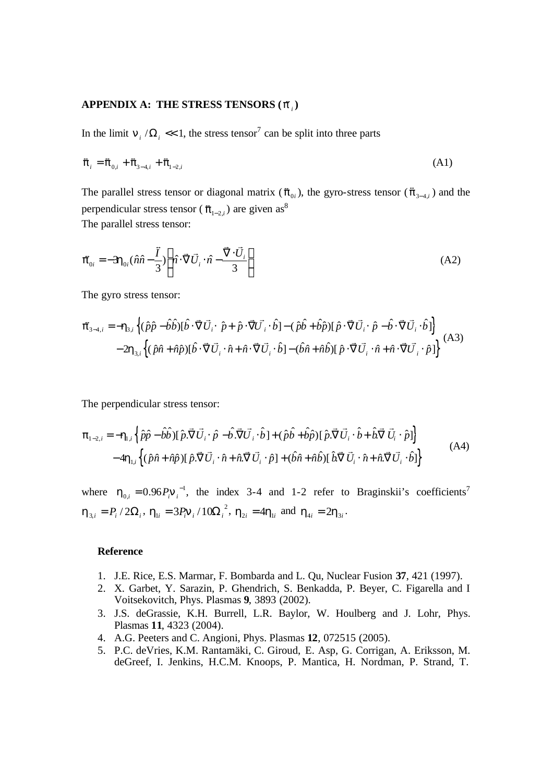# APPENDIX A: THE STRESS TENSORS ( $\vec{p}_i$ )

In the limit  $\mathbf{n}_i/\Omega_i \ll 1$ , the stress tensor<sup>7</sup> can be split into three parts

$$
\vec{\pi}_i = \vec{\pi}_{0,i} + \vec{\pi}_{3-4,i} + \vec{\pi}_{1-2,i}
$$
\n(A1)

The parallel stress tensor or diagonal matrix ( $\pi_{0i}$ ), the gyro-stress tensor ( $\pi_{3-4,i}$ ) and the perpendicular stress tensor ( $\vec{\pi}_{1-2,i}$ ) are given as<sup>8</sup> The parallel stress tensor:

$$
\vec{\boldsymbol{p}}_{0i} = -3\boldsymbol{h}_{0i}(\hat{n}\hat{n} - \frac{\vec{I}}{3}) \left[ \hat{n} \cdot \vec{\nabla} \vec{U}_i \cdot \hat{n} - \frac{\vec{\nabla} \cdot \vec{U}_i}{3} \right]
$$
(A2)

The gyro stress tensor:

$$
\vec{p}_{3-4,i} = -\mathbf{h}_{3,i} \left\{ (\hat{p}\hat{p} - \hat{b}\hat{b}) [\hat{b} \cdot \vec{\nabla} \vec{U}_i \cdot \hat{p} + \hat{p} \cdot \vec{\nabla} \vec{U}_i \cdot \hat{b}] - (\hat{p}\hat{b} + \hat{b}\hat{p}) [\hat{p} \cdot \vec{\nabla} \vec{U}_i \cdot \hat{p} - \hat{b} \cdot \vec{\nabla} \vec{U}_i \cdot \hat{b}] \right\} - 2\mathbf{h}_{3,i} \left\{ (\hat{p}\hat{n} + \hat{n}\hat{p}) [\hat{b} \cdot \vec{\nabla} \vec{U}_i \cdot \hat{n} + \hat{n} \cdot \vec{\nabla} \vec{U}_i \cdot \hat{b}] - (\hat{b}\hat{n} + \hat{n}\hat{b}) [\hat{p} \cdot \vec{\nabla} \vec{U}_i \cdot \hat{n} + \hat{n} \cdot \vec{\nabla} \vec{U}_i \cdot \hat{p}] \right\}
$$
(A3)

The perpendicular stress tensor:

$$
\boldsymbol{p}_{1-2,i} = -\boldsymbol{h}_{1,i} \left\{ \hat{p}\hat{p} - \hat{b}\hat{b} \right\} [\hat{p}.\vec{\nabla}\vec{U}_{i} \cdot \hat{p} - \hat{b}.\vec{\nabla}\vec{U}_{i} \cdot \hat{b}] + (\hat{p}\hat{b} + \hat{b}\hat{p}) [\hat{p}.\vec{\nabla}\vec{U}_{i} \cdot \hat{b} + \hat{b}.\vec{\nabla}\vec{U}_{i} \cdot \hat{p}] \right\} - 4\boldsymbol{h}_{1,i} \left\{ (\hat{p}\hat{n} + \hat{n}\hat{p}) [\hat{p}.\vec{\nabla}\vec{U}_{i} \cdot \hat{n} + \hat{n}.\vec{\nabla}\vec{U}_{i} \cdot \hat{p}] + (\hat{b}\hat{n} + \hat{n}\hat{b}) [\hat{b}.\vec{\nabla}\vec{U}_{i} \cdot \hat{n} + \hat{n}.\vec{\nabla}\vec{U}_{i} \cdot \hat{b}] \right\}
$$
(A4)

where  $h_{0,i} = 0.96 P_i \mathbf{n}_i^{-1}$ , the index 3-4 and 1-2 refer to Braginskii's coefficients<sup>7</sup>  $\mathbf{h}_{3,i} = P_i / 2\Omega_i$ ,  $\mathbf{h}_{1i} = 3P_i \mathbf{n}_i / 10\Omega_i^2$ ,  $\mathbf{h}_{2i} = 4\mathbf{h}_{1i}$  and  $\eta_{4i} = 2\eta_{3i}$ .

#### **Reference**

- 1. J.E. Rice, E.S. Marmar, F. Bombarda and L. Qu, Nuclear Fusion **37**, 421 (1997).
- 2. X. Garbet, Y. Sarazin, P. Ghendrich, S. Benkadda, P. Beyer, C. Figarella and I Voitsekovitch, Phys. Plasmas **9**, 3893 (2002).
- 3. J.S. deGrassie, K.H. Burrell, L.R. Baylor, W. Houlberg and J. Lohr, Phys. Plasmas **11**, 4323 (2004).
- 4. A.G. Peeters and C. Angioni, Phys. Plasmas **12**, 072515 (2005).
- 5. P.C. deVries, K.M. Rantamäki, C. Giroud, E. Asp, G. Corrigan, A. Eriksson, M. deGreef, I. Jenkins, H.C.M. Knoops, P. Mantica, H. Nordman, P. Strand, T.